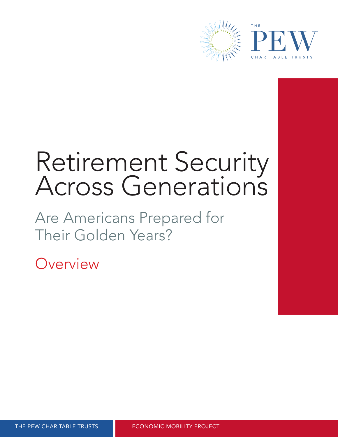

# Retirement Security Across Generations

Are Americans Prepared for Their Golden Years?

Overview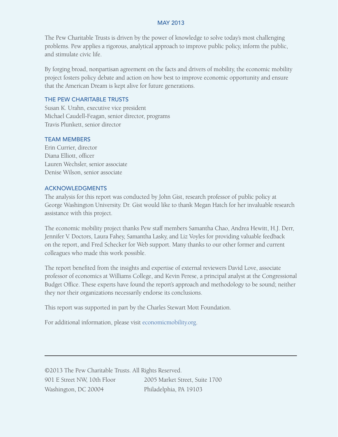## MAY 2013

The Pew Charitable Trusts is driven by the power of knowledge to solve today's most challenging problems. Pew applies a rigorous, analytical approach to improve public policy, inform the public, and stimulate civic life.

By forging broad, nonpartisan agreement on the facts and drivers of mobility, the economic mobility project fosters policy debate and action on how best to improve economic opportunity and ensure that the American Dream is kept alive for future generations.

## THE PEW CHARITABLE TRUSTS

Susan K. Urahn, executive vice president Michael Caudell-Feagan, senior director, programs Travis Plunkett, senior director

# TEAM MEMBERS

Erin Currier, director Diana Elliott, officer Lauren Wechsler, senior associate Denise Wilson, senior associate

#### ACKNOWLEDGMENTS

The analysis for this report was conducted by John Gist, research professor of public policy at George Washington University. Dr. Gist would like to thank Megan Hatch for her invaluable research assistance with this project.

The economic mobility project thanks Pew staff members Samantha Chao, Andrea Hewitt, H.J. Derr, Jennifer V. Doctors, Laura Fahey, Samantha Lasky, and Liz Voyles for providing valuable feedback on the report, and Fred Schecker for Web support. Many thanks to our other former and current colleagues who made this work possible.

The report benefited from the insights and expertise of external reviewers David Love, associate professor of economics at Williams College, and Kevin Perese, a principal analyst at the Congressional Budget Office. These experts have found the report's approach and methodology to be sound; neither they nor their organizations necessarily endorse its conclusions.

This report was supported in part by the Charles Stewart Mott Foundation.

For additional information, please visit [economicmobility.org](http://www.economicmobility.org).

©2013 The Pew Charitable Trusts. All Rights Reserved. 901 E Street NW, 10th Floor 2005 Market Street, Suite 1700 Washington, DC 20004 Philadelphia, PA 19103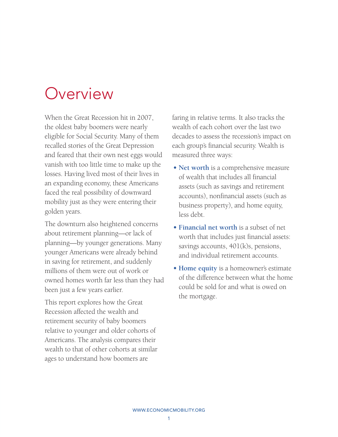# Overview

When the Great Recession hit in 2007, the oldest baby boomers were nearly eligible for Social Security. Many of them recalled stories of the Great Depression and feared that their own nest eggs would vanish with too little time to make up the losses. Having lived most of their lives in an expanding economy, these Americans faced the real possibility of downward mobility just as they were entering their golden years.

The downturn also heightened concerns about retirement planning—or lack of planning—by younger generations. Many younger Americans were already behind in saving for retirement, and suddenly millions of them were out of work or owned homes worth far less than they had been just a few years earlier.

This report explores how the Great Recession affected the wealth and retirement security of baby boomers relative to younger and older cohorts of Americans. The analysis compares their wealth to that of other cohorts at similar ages to understand how boomers are

faring in relative terms. It also tracks the wealth of each cohort over the last two decades to assess the recession's impact on each group's financial security. Wealth is measured three ways:

- **Net worth** is a comprehensive measure of wealth that includes all financial assets (such as savings and retirement accounts), nonfinancial assets (such as business property), and home equity, less debt.
- **• Financial net worth** is a subset of net worth that includes just financial assets: savings accounts, 401(k)s, pensions, and individual retirement accounts.
- **Home equity** is a homeowner's estimate of the difference between what the home could be sold for and what is owed on the mortgage.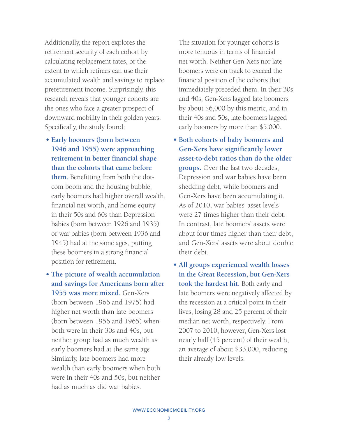Additionally, the report explores the retirement security of each cohort by calculating replacement rates, or the extent to which retirees can use their accumulated wealth and savings to replace preretirement income. Surprisingly, this research reveals that younger cohorts are the ones who face a greater prospect of downward mobility in their golden years. Specifically, the study found:

- **Early boomers (born between 1946 and 1955) were approaching retirement in better financial shape than the cohorts that came before them.** Benefitting from both the dotcom boom and the housing bubble, early boomers had higher overall wealth, financial net worth, and home equity in their 50s and 60s than Depression babies (born between 1926 and 1935) or war babies (born between 1936 and 1945) had at the same ages, putting these boomers in a strong financial position for retirement.
- **The picture of wealth accumulation and savings for Americans born after 1955 was more mixed.** Gen-Xers (born between 1966 and 1975) had higher net worth than late boomers (born between 1956 and 1965) when both were in their 30s and 40s, but neither group had as much wealth as early boomers had at the same age. Similarly, late boomers had more wealth than early boomers when both were in their 40s and 50s, but neither had as much as did war babies.

The situation for younger cohorts is more tenuous in terms of financial net worth. Neither Gen-Xers nor late boomers were on track to exceed the financial position of the cohorts that immediately preceded them. In their 30s and 40s, Gen-Xers lagged late boomers by about \$6,000 by this metric, and in their 40s and 50s, late boomers lagged early boomers by more than \$5,000.

- **Both cohorts of baby boomers and Gen-Xers have significantly lower asset-to-debt ratios than do the older groups.** Over the last two decades, Depression and war babies have been shedding debt, while boomers and Gen-Xers have been accumulating it. As of 2010, war babies' asset levels were 27 times higher than their debt. In contrast, late boomers' assets were about four times higher than their debt, and Gen-Xers' assets were about double their debt.
- **All groups experienced wealth losses in the Great Recession, but Gen-Xers took the hardest hit.** Both early and late boomers were negatively affected by the recession at a critical point in their lives, losing 28 and 25 percent of their median net worth, respectively. From 2007 to 2010, however, Gen-Xers lost nearly half (45 percent) of their wealth, an average of about \$33,000, reducing their already low levels.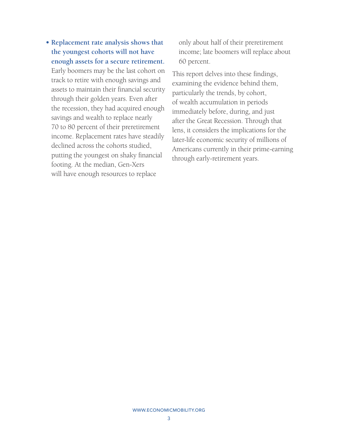**• Replacement rate analysis shows that the youngest cohorts will not have enough assets for a secure retirement.**  Early boomers may be the last cohort on track to retire with enough savings and assets to maintain their financial security through their golden years. Even after the recession, they had acquired enough savings and wealth to replace nearly 70 to 80 percent of their preretirement income. Replacement rates have steadily declined across the cohorts studied, putting the youngest on shaky financial footing. At the median, Gen-Xers will have enough resources to replace

only about half of their preretirement income; late boomers will replace about 60 percent.

This report delves into these findings, examining the evidence behind them, particularly the trends, by cohort, of wealth accumulation in periods immediately before, during, and just after the Great Recession. Through that lens, it considers the implications for the later-life economic security of millions of Americans currently in their prime-earning through early-retirement years.